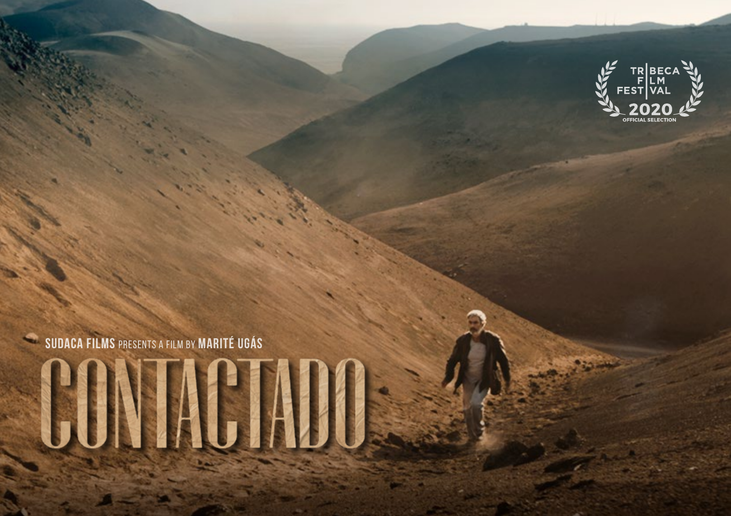

**SUDACA FILMS** PRESENTS A FILM BY **MARITÉ UGÁS**

# CONTACTADOS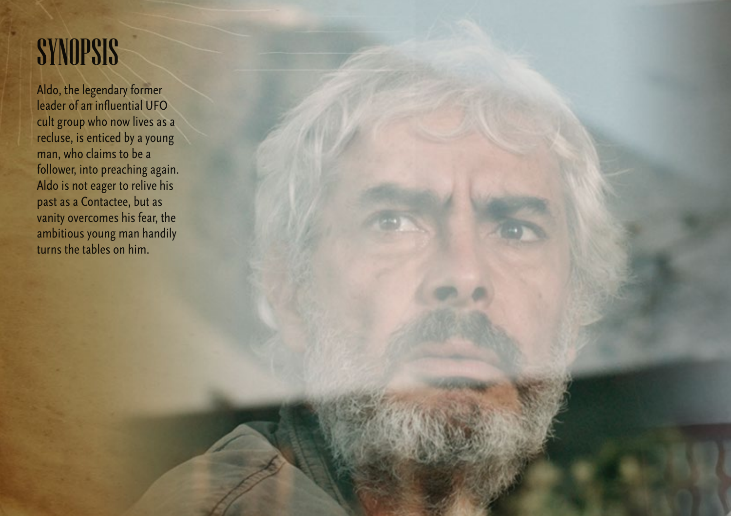### **SYNOPSIS**

Aldo, the legendary former leader of an influential UFO cult group who now lives as a recluse, is enticed by a young man, who claims to be a follower, into preaching again. Aldo is not eager to relive his past as a Contactee, but as vanity overcomes his fear, the ambitious young man handily turns the tables on him.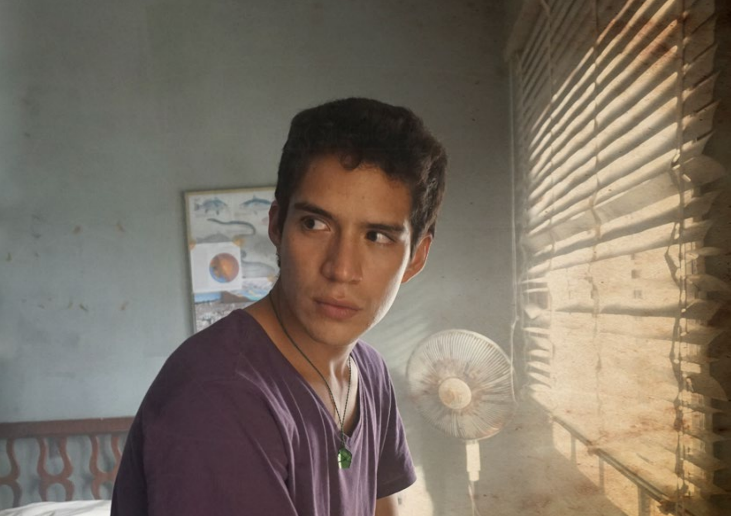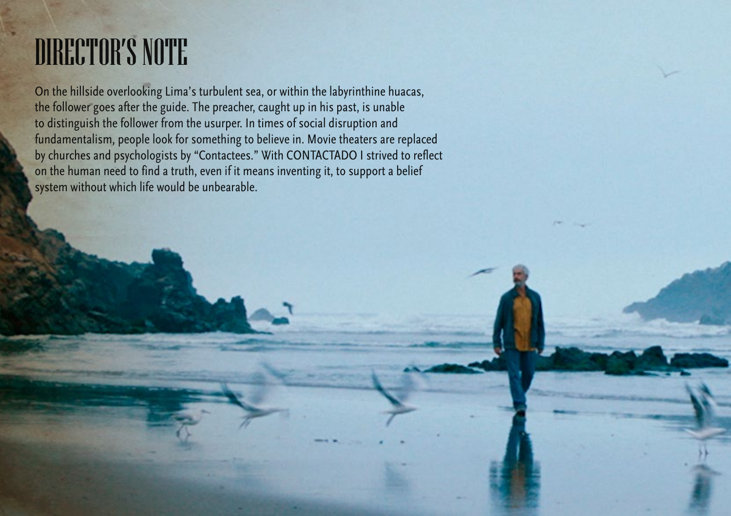## DIRECTOR'S NOTE

On the hillside overlooking Lima's turbulent sea, or within the labyrinthine huacas, the follower goes after the guide. The preacher, caught up in his past, is unable to distinguish the follower from the usurper. In times of social disruption and fundamentalism, people look for something to believe in. Movie theaters are replaced by churches and psychologists by "Contactees." With CONTACTADO I strived to reflect on the human need to find a truth, even if it means inventing it, to support a belief system without which life would be unbearable.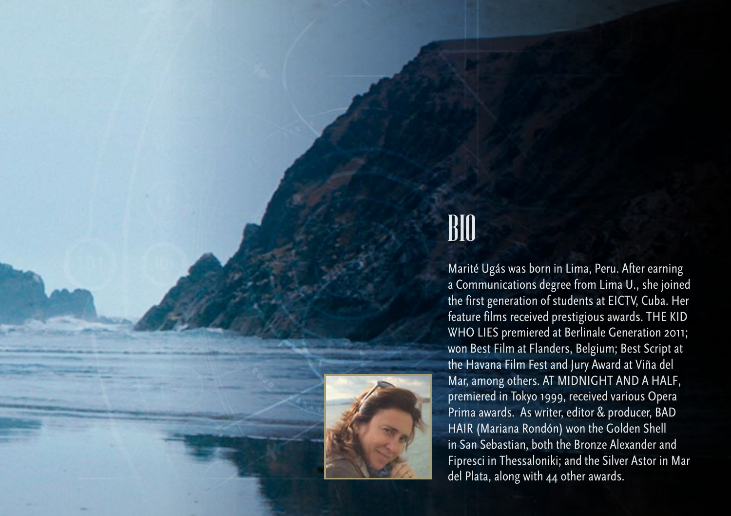

Marité Ugás was born in Lima, Peru. After earning a Communications degree from Lima U., she joined the first generation of students at EICTV, Cuba. Her feature films received prestigious awards. THE KID WHO LIES premiered at Berlinale Generation 2011; won Best Film at Flanders, Belgium; Best Script at the Havana Film Fest and Jury Award at Viña del Mar, among others. AT MIDNIGHT AND A HALF, premiered in Tokyo 1999, received various Opera Prima awards. As writer, editor & producer, BAD HAIR (Mariana Rondón) won the Golden Shell in San Sebastian, both the Bronze Alexander and Fipresci in Thessaloniki; and the Silver Astor in Mar del Plata, along with 44 other awards.

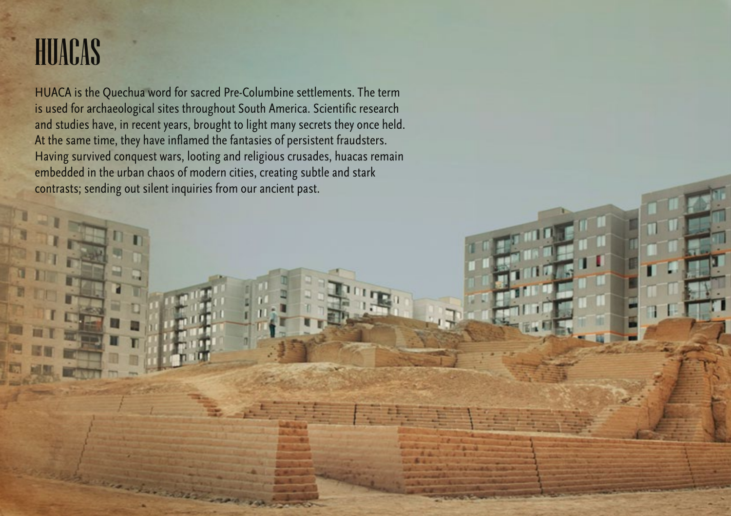

HUACA is the Quechua word for sacred Pre-Columbine settlements. The term is used for archaeological sites throughout South America. Scientific research and studies have, in recent years, brought to light many secrets they once held. At the same time, they have inflamed the fantasies of persistent fraudsters. Having survived conquest wars, looting and religious crusades, huacas remain embedded in the urban chaos of modern cities, creating subtle and stark contrasts; sending out silent inquiries from our ancient past.

**AND 24022**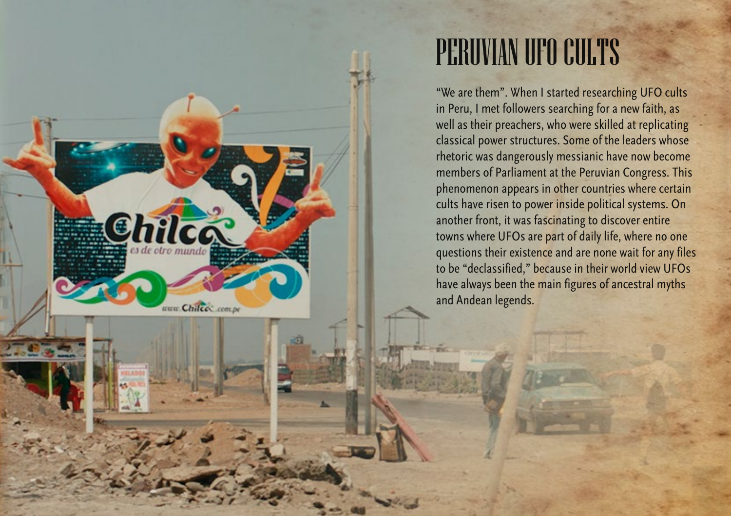

### PERUVIAN UFO CULTS

"We are them". When I started researching UFO cults in Peru, I met followers searching for a new faith, as well as their preachers, who were skilled at replicating classical power structures. Some of the leaders whose rhetoric was dangerously messianic have now become members of Parliament at the Peruvian Congress. This phenomenon appears in other countries where certain cults have risen to power inside political systems. On another front, it was fascinating to discover entire towns where UFOs are part of daily life, where no one questions their existence and are none wait for any files to be "declassified," because in their world view UFOs have always been the main figures of ancestral myths and Andean legends.